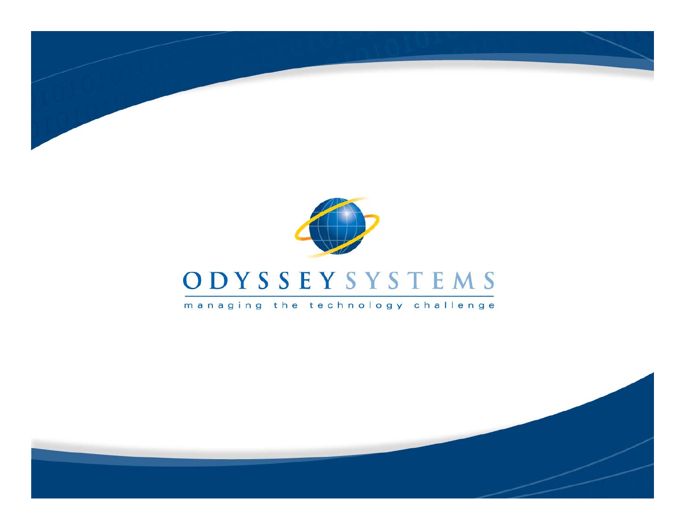



managing the technology challenge

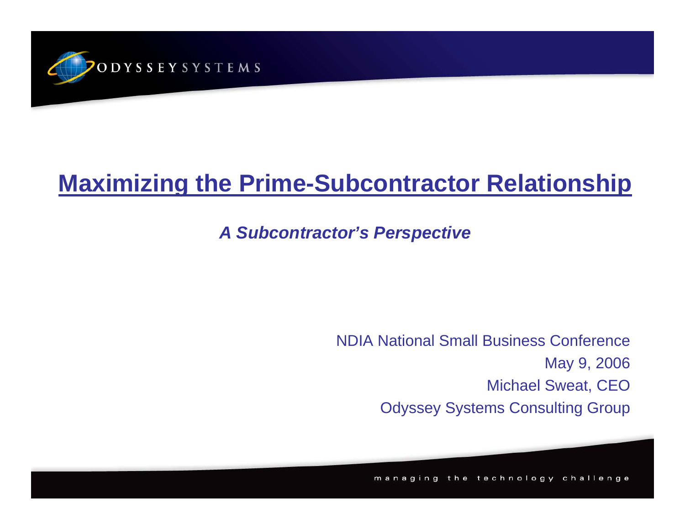

#### **Maximizing the Prime-Subcontractor Relationship**

#### *A Subcontractor's Perspective*

NDIA National Small Business ConferenceMay 9, 2006 Michael Sweat, CEO Odyssey Systems Consulting Group

managing the technology challenge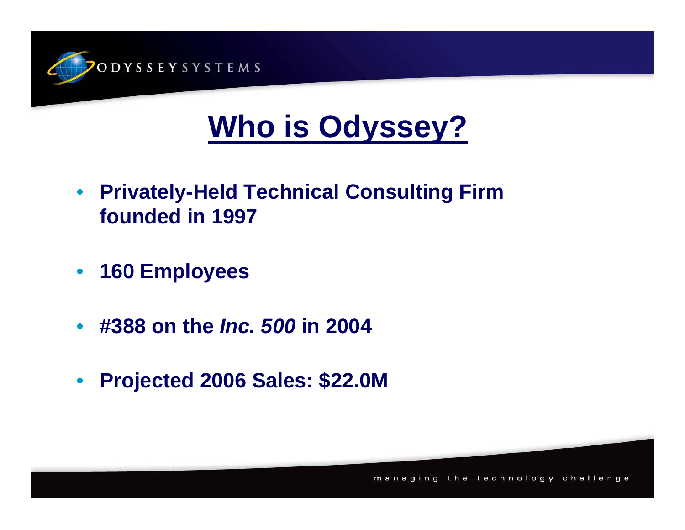

# **Who is Odyssey?**

- $\bullet$  **Privately-Held Technical Consulting Firm founded in 1997**
- $\bullet$ **160 Employees**
- $\bullet$ **#388 on the** *Inc. 500* **in 2004**
- $\bullet$ **Projected 2006 Sales: \$22.0M**

man the technology challenge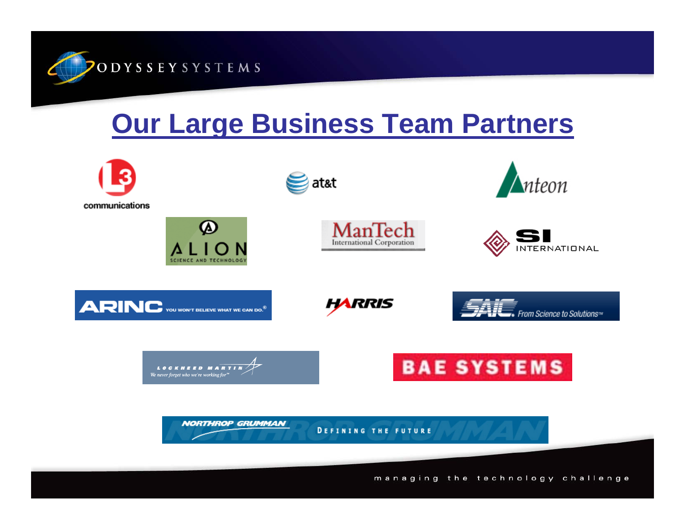

# **Our Large Business Team Partners**

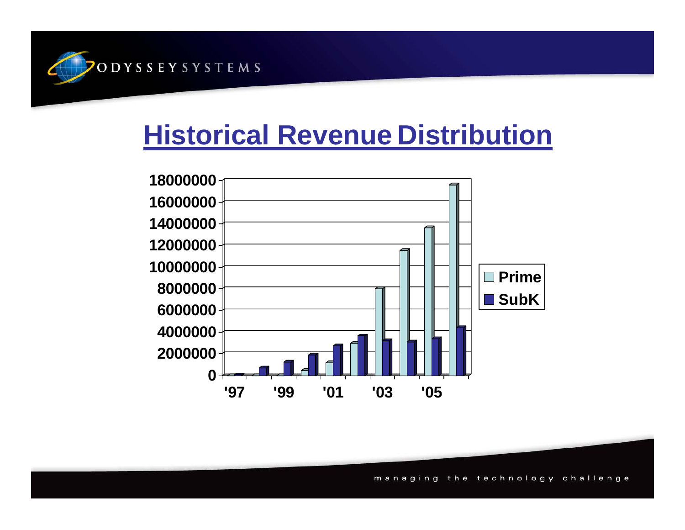

# **Historical Revenue Distribution**



managing the technology challenge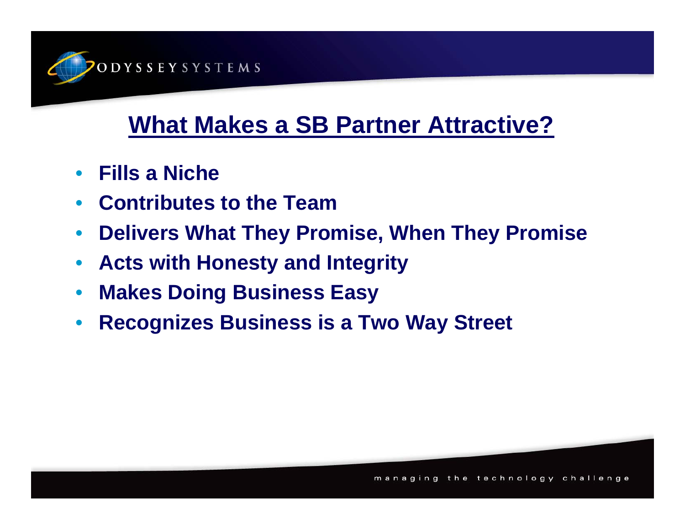

## **What Makes a SB Partner Attractive?**

- $\bullet$ **Fills a Niche**
- $\bullet$ **Contributes to the Team**
- $\bullet$ **Delivers What They Promise, When They Promise**
- $\bullet$ **Acts with Honesty and Integrity**
- $\bullet$ **Makes Doing Business Easy**
- $\bullet$ **Recognizes Business is a Two Way Street**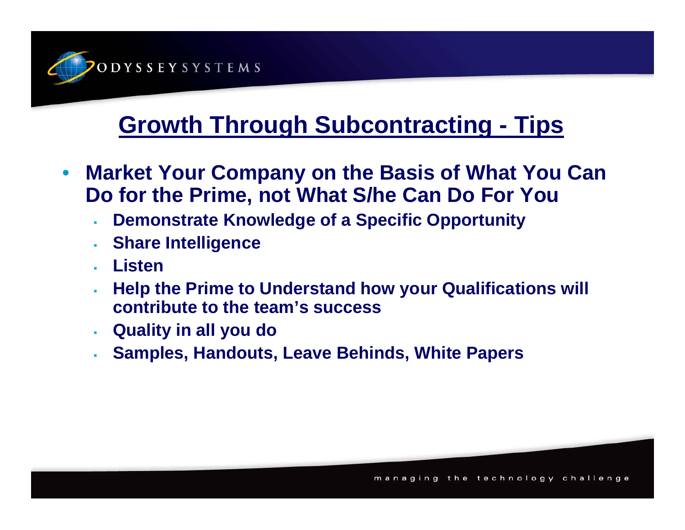

### **Growth Through Subcontracting - Tips**

- $\bullet$  **Market Your Company on the Basis of What You Can Do for the Prime, not What S/he Can Do For You**
	- à. **Demonstrate Knowledge of a Specific Opportunity**
	- i. **Share Intelligence**
	- **Listen**
	- **Help the Prime to Understand how your Qualifications will contribute to the team's success**
	- $\mathbf{r}$ **Quality in all you do**
	- à. **Samples, Handouts, Leave Behinds, White Papers**

ging the technology challe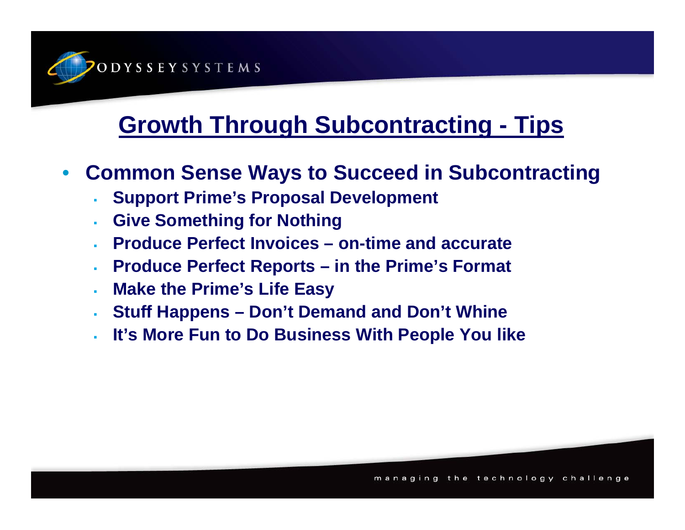

### **Growth Through Subcontracting - Tips**

- $\bullet$  **Common Sense Ways to Succeed in Subcontracting**
	- á, **Support Prime's Proposal Development**
	- á, **Give Something for Nothing**
	- **Produce Perfect Invoices – on-time and accurate**
	- ä, **Produce Perfect Reports – in the Prime's Format**
	- ä, **Make the Prime's Life Easy**
	- ä, **Stuff Happens – Don't Demand and Don't Whine**
	- a. **It's More Fun to Do Business With People You like**